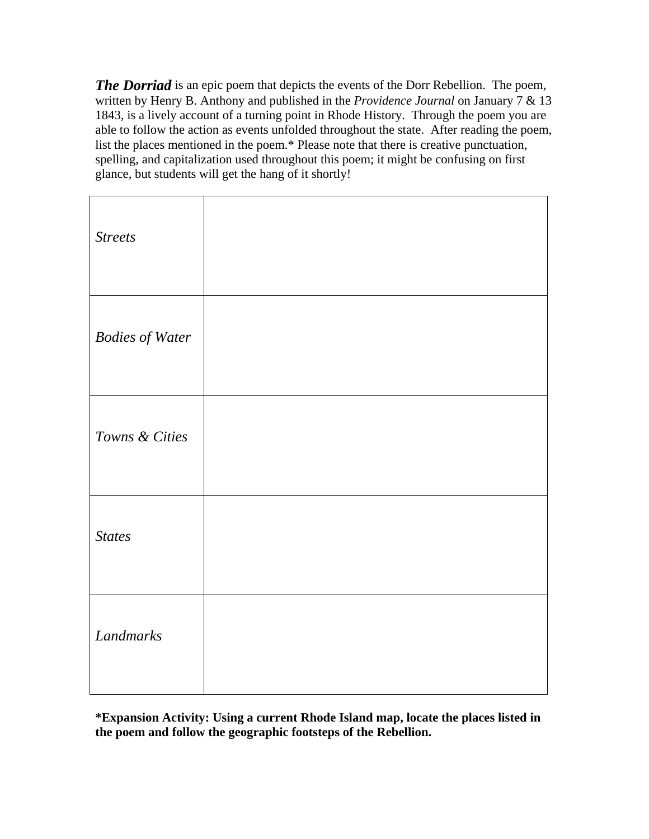*The Dorriad* is an epic poem that depicts the events of the Dorr Rebellion. The poem, written by Henry B. Anthony and published in the *Providence Journal* on January 7 & 13 1843, is a lively account of a turning point in Rhode History. Through the poem you are able to follow the action as events unfolded throughout the state. After reading the poem, list the places mentioned in the poem.\* Please note that there is creative punctuation, spelling, and capitalization used throughout this poem; it might be confusing on first glance, but students will get the hang of it shortly!

| <b>Streets</b>         |  |
|------------------------|--|
| <b>Bodies of Water</b> |  |
| Towns & Cities         |  |
| <b>States</b>          |  |
| Landmarks              |  |

**\*Expansion Activity: Using a current Rhode Island map, locate the places listed in the poem and follow the geographic footsteps of the Rebellion.**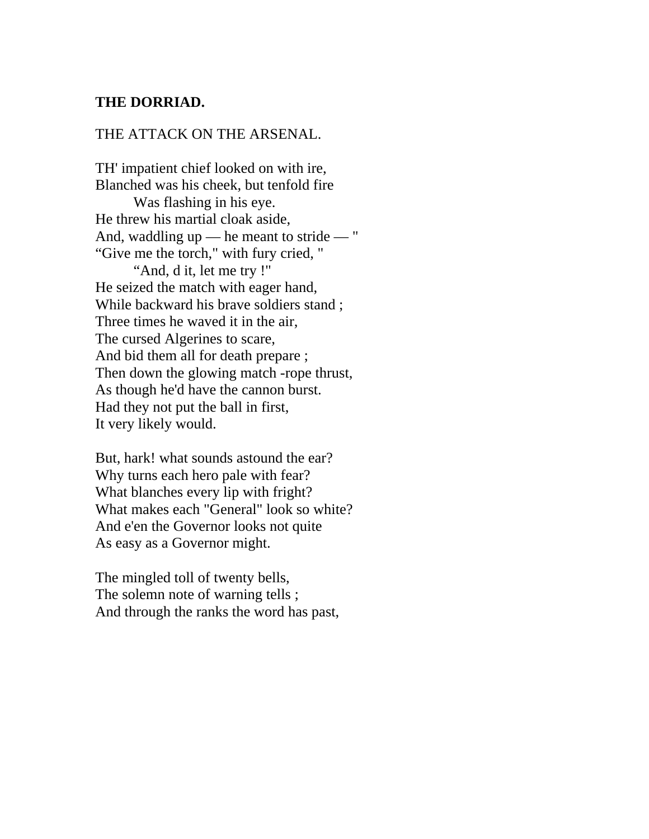## **THE DORRIAD.**

## THE ATTACK ON THE ARSENAL.

TH' impatient chief looked on with ire, Blanched was his cheek, but tenfold fire

 Was flashing in his eye. He threw his martial cloak aside, And, waddling up — he meant to stride — " "Give me the torch," with fury cried, " "And, d it, let me try !" He seized the match with eager hand, While backward his brave soldiers stand ; Three times he waved it in the air, The cursed Algerines to scare, And bid them all for death prepare ; Then down the glowing match -rope thrust, As though he'd have the cannon burst. Had they not put the ball in first, It very likely would.

But, hark! what sounds astound the ear? Why turns each hero pale with fear? What blanches every lip with fright? What makes each "General" look so white? And e'en the Governor looks not quite As easy as a Governor might.

The mingled toll of twenty bells, The solemn note of warning tells; And through the ranks the word has past,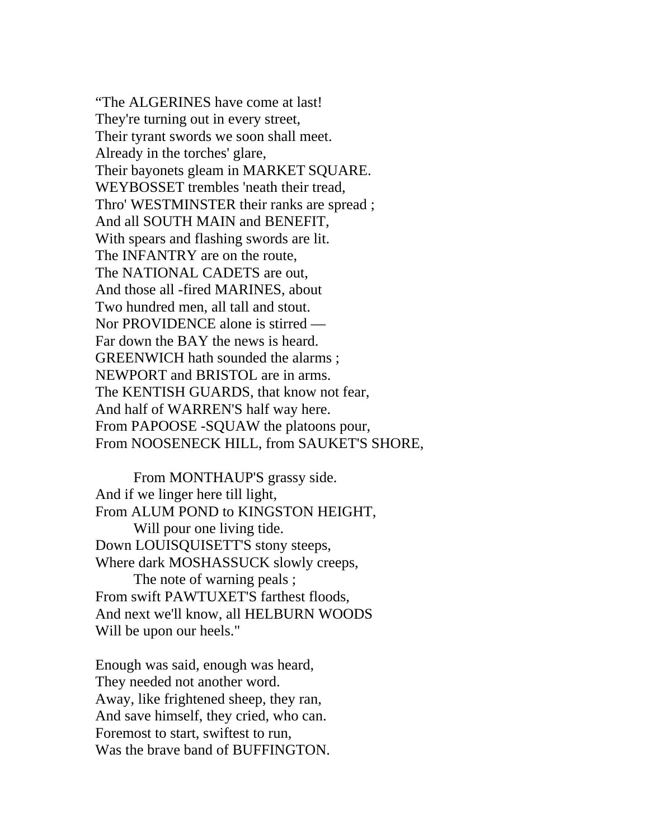"The ALGERINES have come at last! They're turning out in every street, Their tyrant swords we soon shall meet. Already in the torches' glare, Their bayonets gleam in MARKET SQUARE. WEYBOSSET trembles 'neath their tread, Thro' WESTMINSTER their ranks are spread ; And all SOUTH MAIN and BENEFIT, With spears and flashing swords are lit. The INFANTRY are on the route, The NATIONAL CADETS are out, And those all -fired MARINES, about Two hundred men, all tall and stout. Nor PROVIDENCE alone is stirred — Far down the BAY the news is heard. GREENWICH hath sounded the alarms ; NEWPORT and BRISTOL are in arms. The KENTISH GUARDS, that know not fear, And half of WARREN'S half way here. From PAPOOSE -SQUAW the platoons pour, From NOOSENECK HILL, from SAUKET'S SHORE,

 From MONTHAUP'S grassy side. And if we linger here till light, From ALUM POND to KINGSTON HEIGHT, Will pour one living tide. Down LOUISQUISETT'S stony steeps, Where dark MOSHASSUCK slowly creeps, The note of warning peals ; From swift PAWTUXET'S farthest floods,

And next we'll know, all HELBURN WOODS Will be upon our heels."

Enough was said, enough was heard, They needed not another word. Away, like frightened sheep, they ran, And save himself, they cried, who can. Foremost to start, swiftest to run, Was the brave band of BUFFINGTON.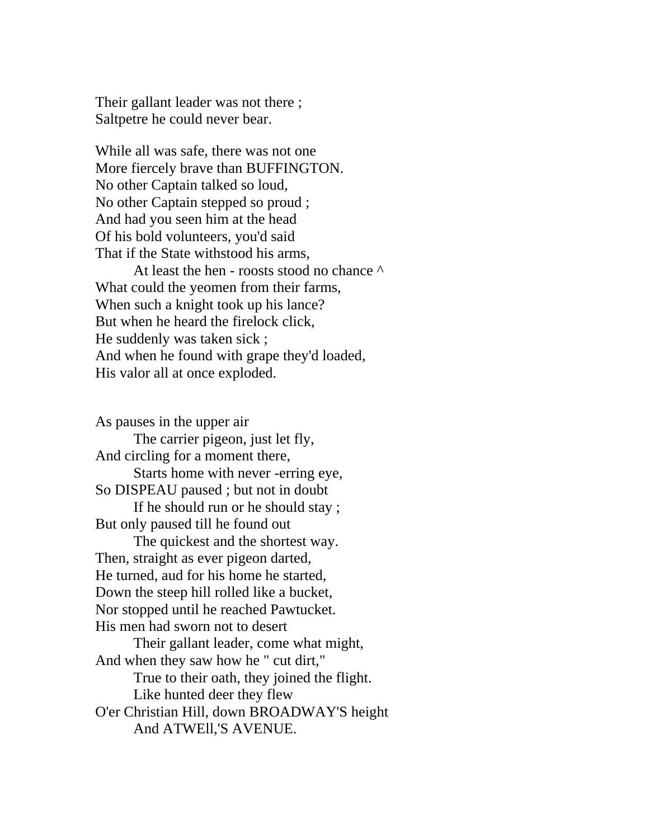Their gallant leader was not there ; Saltpetre he could never bear.

While all was safe, there was not one More fiercely brave than BUFFINGTON. No other Captain talked so loud, No other Captain stepped so proud ; And had you seen him at the head Of his bold volunteers, you'd said That if the State withstood his arms,

At least the hen - roosts stood no chance  $\wedge$ What could the yeomen from their farms, When such a knight took up his lance? But when he heard the firelock click, He suddenly was taken sick ; And when he found with grape they'd loaded, His valor all at once exploded.

As pauses in the upper air The carrier pigeon, just let fly, And circling for a moment there, Starts home with never -erring eye, So DISPEAU paused ; but not in doubt If he should run or he should stay ; But only paused till he found out The quickest and the shortest way. Then, straight as ever pigeon darted, He turned, aud for his home he started, Down the steep hill rolled like a bucket, Nor stopped until he reached Pawtucket. His men had sworn not to desert Their gallant leader, come what might, And when they saw how he " cut dirt," True to their oath, they joined the flight. Like hunted deer they flew O'er Christian Hill, down BROADWAY'S height And ATWEll,'S AVENUE.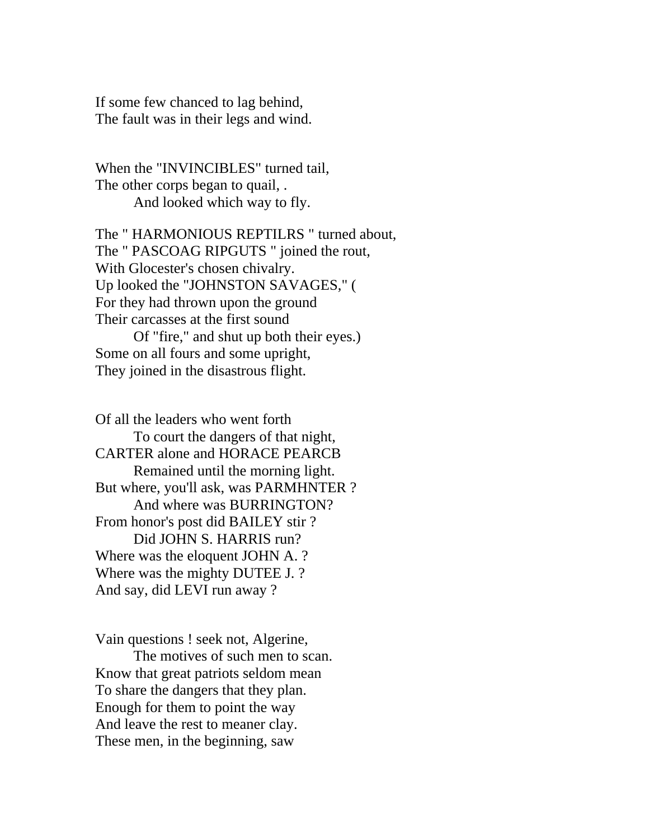If some few chanced to lag behind, The fault was in their legs and wind.

When the "INVINCIBLES" turned tail, The other corps began to quail, . And looked which way to fly.

The " HARMONIOUS REPTILRS " turned about, The " PASCOAG RIPGUTS " joined the rout, With Glocester's chosen chivalry. Up looked the "JOHNSTON SAVAGES," ( For they had thrown upon the ground Their carcasses at the first sound Of "fire," and shut up both their eyes.) Some on all fours and some upright,

They joined in the disastrous flight.

Of all the leaders who went forth To court the dangers of that night, CARTER alone and HORACE PEARCB Remained until the morning light. But where, you'll ask, was PARMHNTER ? And where was BURRINGTON? From honor's post did BAILEY stir ? Did JOHN S. HARRIS run? Where was the eloquent JOHN A. ? Where was the mighty DUTEE J. ? And say, did LEVI run away ?

Vain questions ! seek not, Algerine,

 The motives of such men to scan. Know that great patriots seldom mean To share the dangers that they plan. Enough for them to point the way And leave the rest to meaner clay. These men, in the beginning, saw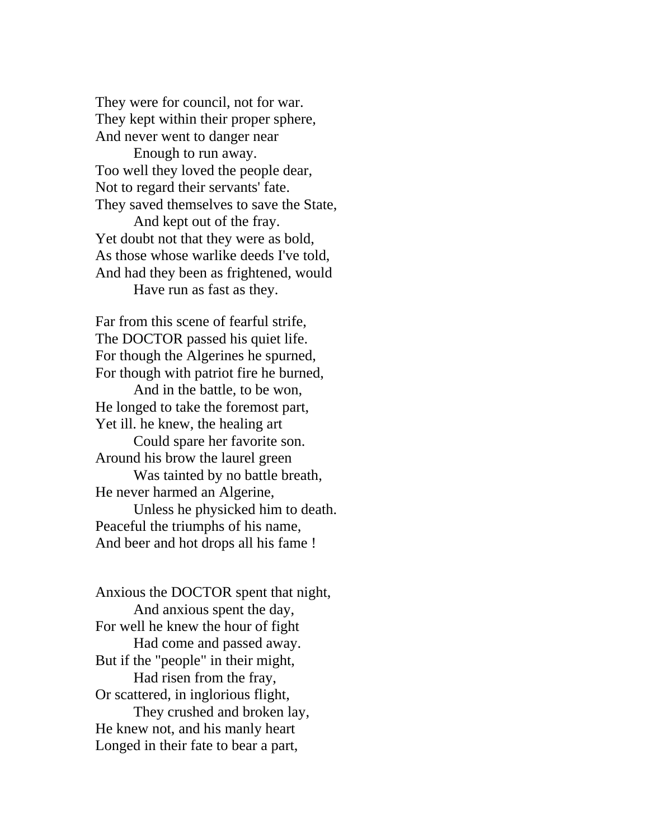They were for council, not for war. They kept within their proper sphere, And never went to danger near

 Enough to run away. Too well they loved the people dear, Not to regard their servants' fate. They saved themselves to save the State,

 And kept out of the fray. Yet doubt not that they were as bold, As those whose warlike deeds I've told, And had they been as frightened, would Have run as fast as they.

Far from this scene of fearful strife, The DOCTOR passed his quiet life. For though the Algerines he spurned, For though with patriot fire he burned, And in the battle, to be won, He longed to take the foremost part, Yet ill. he knew, the healing art Could spare her favorite son. Around his brow the laurel green Was tainted by no battle breath, He never harmed an Algerine, Unless he physicked him to death. Peaceful the triumphs of his name, And beer and hot drops all his fame !

Anxious the DOCTOR spent that night, And anxious spent the day, For well he knew the hour of fight Had come and passed away. But if the "people" in their might, Had risen from the fray, Or scattered, in inglorious flight, They crushed and broken lay, He knew not, and his manly heart Longed in their fate to bear a part,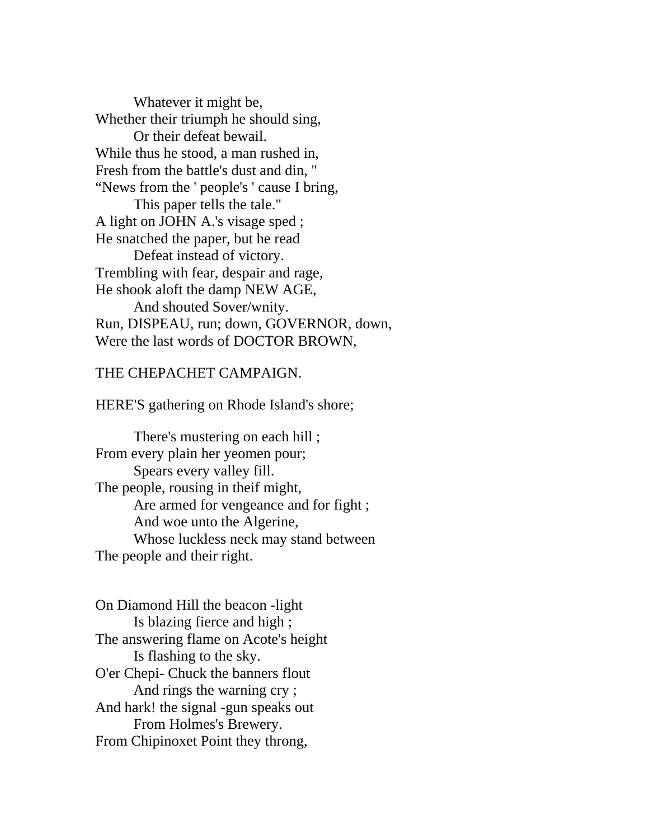Whatever it might be, Whether their triumph he should sing, Or their defeat bewail. While thus he stood, a man rushed in, Fresh from the battle's dust and din, " "News from the ' people's ' cause I bring, This paper tells the tale." A light on JOHN A.'s visage sped ; He snatched the paper, but he read Defeat instead of victory. Trembling with fear, despair and rage, He shook aloft the damp NEW AGE, And shouted Sover/wnity. Run, DISPEAU, run; down, GOVERNOR, down, Were the last words of DOCTOR BROWN,

## THE CHEPACHET CAMPAIGN.

HERE'S gathering on Rhode Island's shore;

 There's mustering on each hill ; From every plain her yeomen pour; Spears every valley fill. The people, rousing in theif might, Are armed for vengeance and for fight ; And woe unto the Algerine, Whose luckless neck may stand between The people and their right.

On Diamond Hill the beacon -light Is blazing fierce and high ; The answering flame on Acote's height Is flashing to the sky. O'er Chepi- Chuck the banners flout And rings the warning cry ; And hark! the signal -gun speaks out From Holmes's Brewery. From Chipinoxet Point they throng,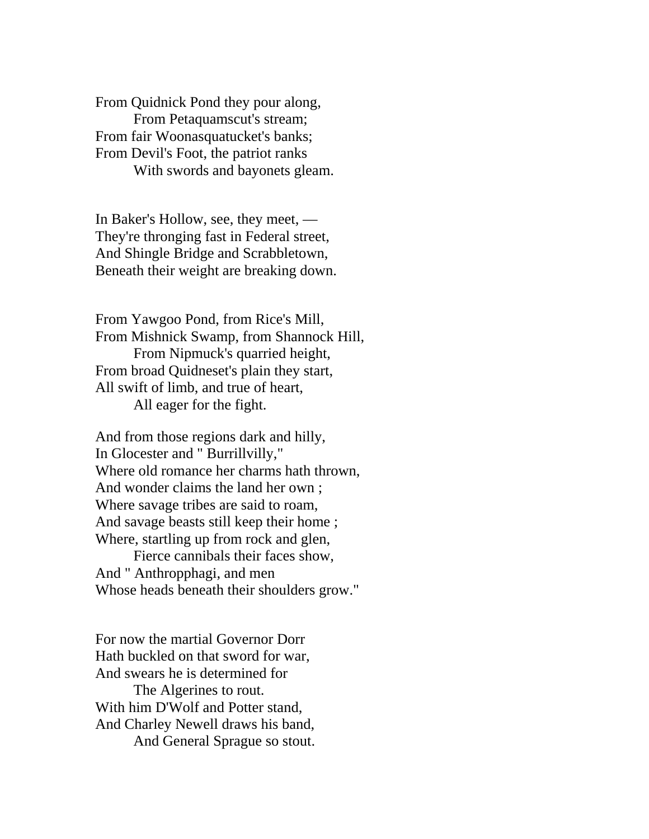From Quidnick Pond they pour along, From Petaquamscut's stream; From fair Woonasquatucket's banks; From Devil's Foot, the patriot ranks With swords and bayonets gleam.

In Baker's Hollow, see, they meet, — They're thronging fast in Federal street, And Shingle Bridge and Scrabbletown, Beneath their weight are breaking down.

From Yawgoo Pond, from Rice's Mill, From Mishnick Swamp, from Shannock Hill, From Nipmuck's quarried height, From broad Quidneset's plain they start, All swift of limb, and true of heart, All eager for the fight.

And from those regions dark and hilly, In Glocester and " Burrillvilly," Where old romance her charms hath thrown, And wonder claims the land her own ; Where savage tribes are said to roam, And savage beasts still keep their home ; Where, startling up from rock and glen,

 Fierce cannibals their faces show, And " Anthropphagi, and men Whose heads beneath their shoulders grow."

For now the martial Governor Dorr Hath buckled on that sword for war, And swears he is determined for

 The Algerines to rout. With him D'Wolf and Potter stand, And Charley Newell draws his band, And General Sprague so stout.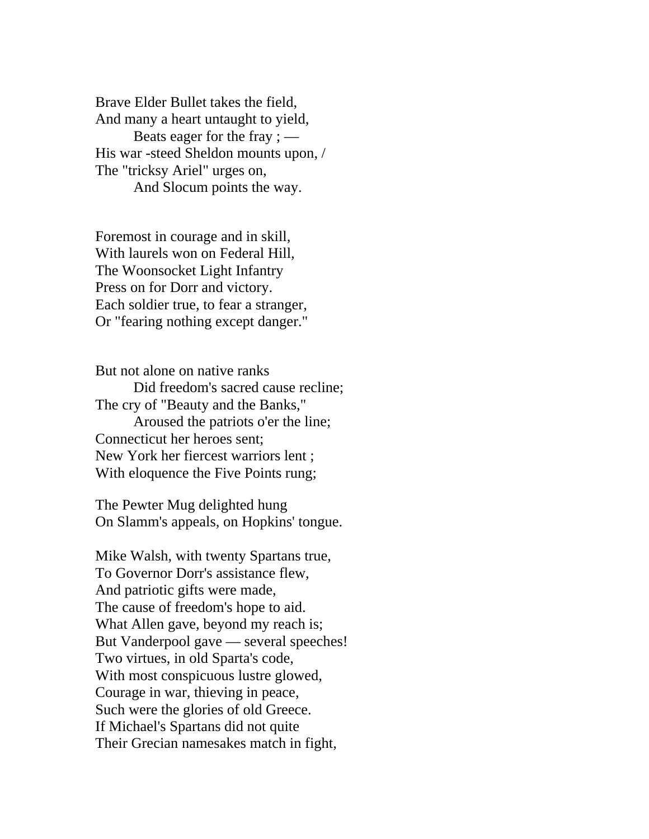Brave Elder Bullet takes the field, And many a heart untaught to yield, Beats eager for the fray ; — His war -steed Sheldon mounts upon, / The "tricksy Ariel" urges on, And Slocum points the way.

Foremost in courage and in skill, With laurels won on Federal Hill, The Woonsocket Light Infantry Press on for Dorr and victory. Each soldier true, to fear a stranger, Or "fearing nothing except danger."

But not alone on native ranks Did freedom's sacred cause recline; The cry of "Beauty and the Banks," Aroused the patriots o'er the line; Connecticut her heroes sent; New York her fiercest warriors lent ; With eloquence the Five Points rung;

The Pewter Mug delighted hung On Slamm's appeals, on Hopkins' tongue.

Mike Walsh, with twenty Spartans true, To Governor Dorr's assistance flew, And patriotic gifts were made, The cause of freedom's hope to aid. What Allen gave, beyond my reach is; But Vanderpool gave — several speeches! Two virtues, in old Sparta's code, With most conspicuous lustre glowed, Courage in war, thieving in peace, Such were the glories of old Greece. If Michael's Spartans did not quite Their Grecian namesakes match in fight,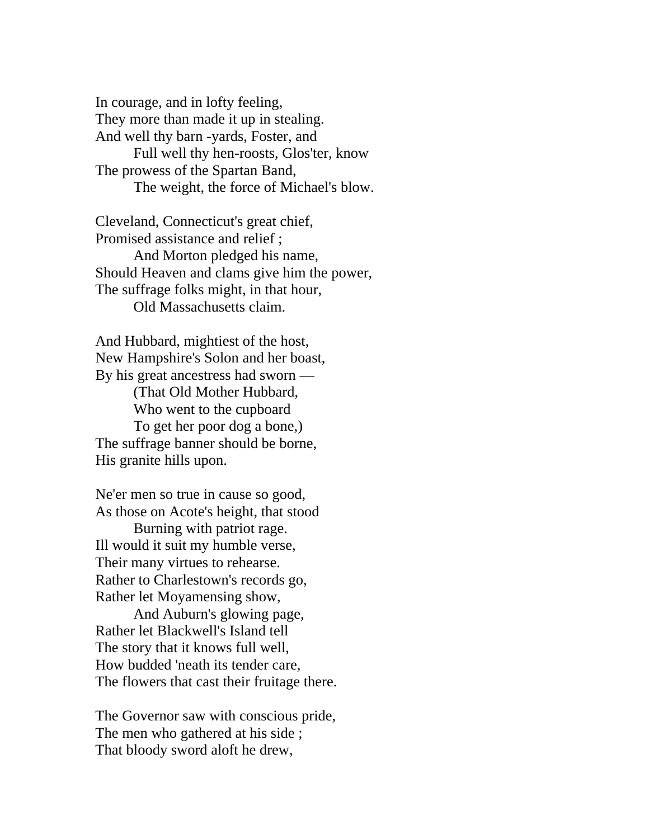In courage, and in lofty feeling, They more than made it up in stealing. And well thy barn -yards, Foster, and Full well thy hen-roosts, Glos'ter, know The prowess of the Spartan Band, The weight, the force of Michael's blow.

Cleveland, Connecticut's great chief, Promised assistance and relief ; And Morton pledged his name, Should Heaven and clams give him the power, The suffrage folks might, in that hour,

Old Massachusetts claim.

And Hubbard, mightiest of the host, New Hampshire's Solon and her boast, By his great ancestress had sworn — (That Old Mother Hubbard, Who went to the cupboard To get her poor dog a bone,) The suffrage banner should be borne, His granite hills upon.

Ne'er men so true in cause so good, As those on Acote's height, that stood

 Burning with patriot rage. Ill would it suit my humble verse, Their many virtues to rehearse. Rather to Charlestown's records go, Rather let Moyamensing show,

 And Auburn's glowing page, Rather let Blackwell's Island tell The story that it knows full well, How budded 'neath its tender care, The flowers that cast their fruitage there.

The Governor saw with conscious pride, The men who gathered at his side ; That bloody sword aloft he drew,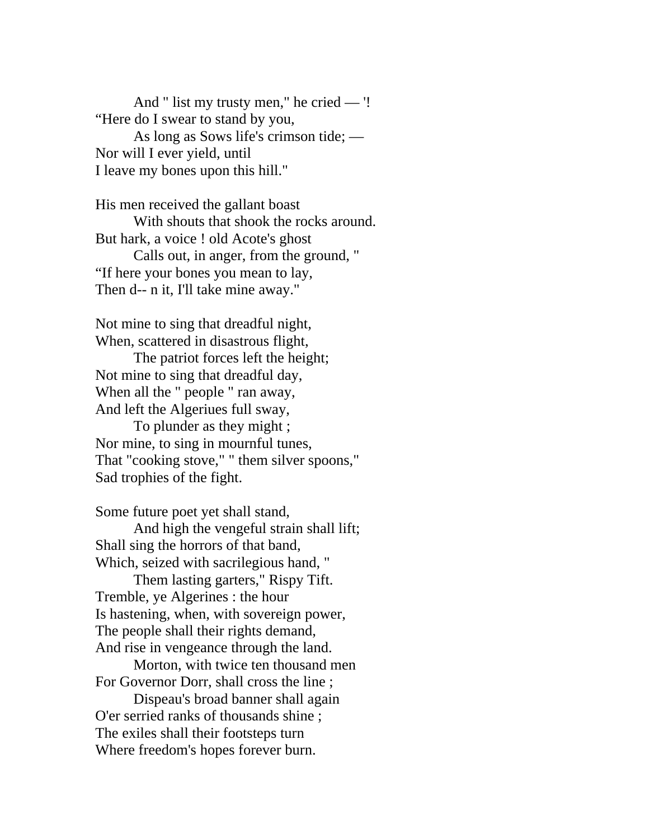And " list my trusty men," he cried — '! "Here do I swear to stand by you, As long as Sows life's crimson tide; — Nor will I ever yield, until I leave my bones upon this hill."

His men received the gallant boast With shouts that shook the rocks around. But hark, a voice ! old Acote's ghost Calls out, in anger, from the ground, " "If here your bones you mean to lay, Then d-- n it, I'll take mine away."

Not mine to sing that dreadful night, When, scattered in disastrous flight,

 The patriot forces left the height; Not mine to sing that dreadful day, When all the " people " ran away, And left the Algeriues full sway,

 To plunder as they might ; Nor mine, to sing in mournful tunes, That "cooking stove," " them silver spoons," Sad trophies of the fight.

Some future poet yet shall stand,

 And high the vengeful strain shall lift; Shall sing the horrors of that band, Which, seized with sacrilegious hand, "

 Them lasting garters," Rispy Tift. Tremble, ye Algerines : the hour Is hastening, when, with sovereign power, The people shall their rights demand, And rise in vengeance through the land.

 Morton, with twice ten thousand men For Governor Dorr, shall cross the line ;

 Dispeau's broad banner shall again O'er serried ranks of thousands shine ; The exiles shall their footsteps turn Where freedom's hopes forever burn.